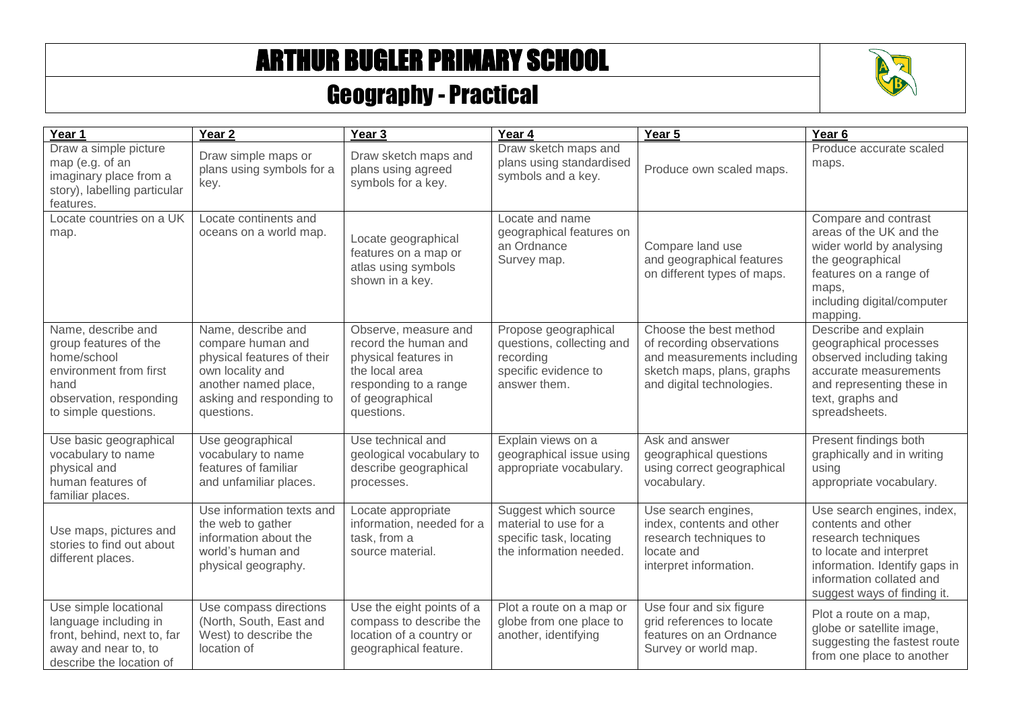## ARTHUR BUGLER PRIMARY SCHOOL



## Geography - Practical

| Year 1                                                                                                                                          | Year <sub>2</sub>                                                                                                                                           | Year 3                                                                                                                                           | Year 4                                                                                                 | Year 5                                                                                                                                       | Year <sub>6</sub>                                                                                                                                                                              |
|-------------------------------------------------------------------------------------------------------------------------------------------------|-------------------------------------------------------------------------------------------------------------------------------------------------------------|--------------------------------------------------------------------------------------------------------------------------------------------------|--------------------------------------------------------------------------------------------------------|----------------------------------------------------------------------------------------------------------------------------------------------|------------------------------------------------------------------------------------------------------------------------------------------------------------------------------------------------|
| Draw a simple picture<br>map (e.g. of an<br>imaginary place from a<br>story), labelling particular<br>features.                                 | Draw simple maps or<br>plans using symbols for a<br>key.                                                                                                    | Draw sketch maps and<br>plans using agreed<br>symbols for a key.                                                                                 | Draw sketch maps and<br>plans using standardised<br>symbols and a key.                                 | Produce own scaled maps.                                                                                                                     | Produce accurate scaled<br>maps.                                                                                                                                                               |
| Locate countries on a UK<br>map.                                                                                                                | Locate continents and<br>oceans on a world map.                                                                                                             | Locate geographical<br>features on a map or<br>atlas using symbols<br>shown in a key.                                                            | Locate and name<br>geographical features on<br>an Ordnance<br>Survey map.                              | Compare land use<br>and geographical features<br>on different types of maps.                                                                 | Compare and contrast<br>areas of the UK and the<br>wider world by analysing<br>the geographical<br>features on a range of<br>maps.<br>including digital/computer<br>mapping.                   |
| Name, describe and<br>group features of the<br>home/school<br>environment from first<br>hand<br>observation, responding<br>to simple questions. | Name, describe and<br>compare human and<br>physical features of their<br>own locality and<br>another named place,<br>asking and responding to<br>questions. | Observe, measure and<br>record the human and<br>physical features in<br>the local area<br>responding to a range<br>of geographical<br>questions. | Propose geographical<br>questions, collecting and<br>recording<br>specific evidence to<br>answer them. | Choose the best method<br>of recording observations<br>and measurements including<br>sketch maps, plans, graphs<br>and digital technologies. | Describe and explain<br>geographical processes<br>observed including taking<br>accurate measurements<br>and representing these in<br>text, graphs and<br>spreadsheets.                         |
| Use basic geographical<br>vocabulary to name<br>physical and<br>human features of<br>familiar places.                                           | Use geographical<br>vocabulary to name<br>features of familiar<br>and unfamiliar places.                                                                    | Use technical and<br>geological vocabulary to<br>describe geographical<br>processes.                                                             | Explain views on a<br>geographical issue using<br>appropriate vocabulary.                              | Ask and answer<br>geographical questions<br>using correct geographical<br>vocabulary.                                                        | Present findings both<br>graphically and in writing<br>using<br>appropriate vocabulary.                                                                                                        |
| Use maps, pictures and<br>stories to find out about<br>different places.                                                                        | Use information texts and<br>the web to gather<br>information about the<br>world's human and<br>physical geography.                                         | Locate appropriate<br>information, needed for a<br>task, from a<br>source material.                                                              | Suggest which source<br>material to use for a<br>specific task, locating<br>the information needed.    | Use search engines,<br>index, contents and other<br>research techniques to<br>locate and<br>interpret information.                           | Use search engines, index,<br>contents and other<br>research techniques<br>to locate and interpret<br>information. Identify gaps in<br>information collated and<br>suggest ways of finding it. |
| Use simple locational<br>language including in<br>front, behind, next to, far<br>away and near to, to<br>describe the location of               | Use compass directions<br>(North, South, East and<br>West) to describe the<br>location of                                                                   | Use the eight points of a<br>compass to describe the<br>location of a country or<br>geographical feature.                                        | Plot a route on a map or<br>globe from one place to<br>another, identifying                            | Use four and six figure<br>grid references to locate<br>features on an Ordnance<br>Survey or world map.                                      | Plot a route on a map,<br>globe or satellite image,<br>suggesting the fastest route<br>from one place to another                                                                               |